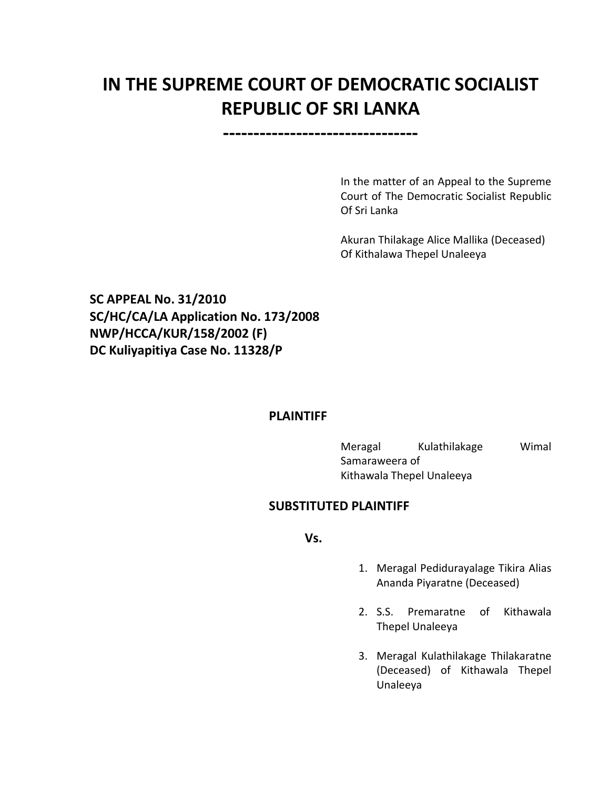# **IN THE SUPREME COURT OF DEMOCRATIC SOCIALIST REPUBLIC OF SRI LANKA**

**--------------------------------**

In the matter of an Appeal to the Supreme Court of The Democratic Socialist Republic Of Sri Lanka

Akuran Thilakage Alice Mallika (Deceased) Of Kithalawa Thepel Unaleeya

**SC APPEAL No. 31/2010 SC/HC/CA/LA Application No. 173/2008 NWP/HCCA/KUR/158/2002 (F) DC Kuliyapitiya Case No. 11328/P**

#### **PLAINTIFF**

Meragal Kulathilakage Wimal Samaraweera of Kithawala Thepel Unaleeya

# **SUBSTITUTED PLAINTIFF**

**Vs.**

- 1. Meragal Pedidurayalage Tikira Alias Ananda Piyaratne (Deceased)
- 2. S.S. Premaratne of Kithawala Thepel Unaleeya
- 3. Meragal Kulathilakage Thilakaratne (Deceased) of Kithawala Thepel Unaleeya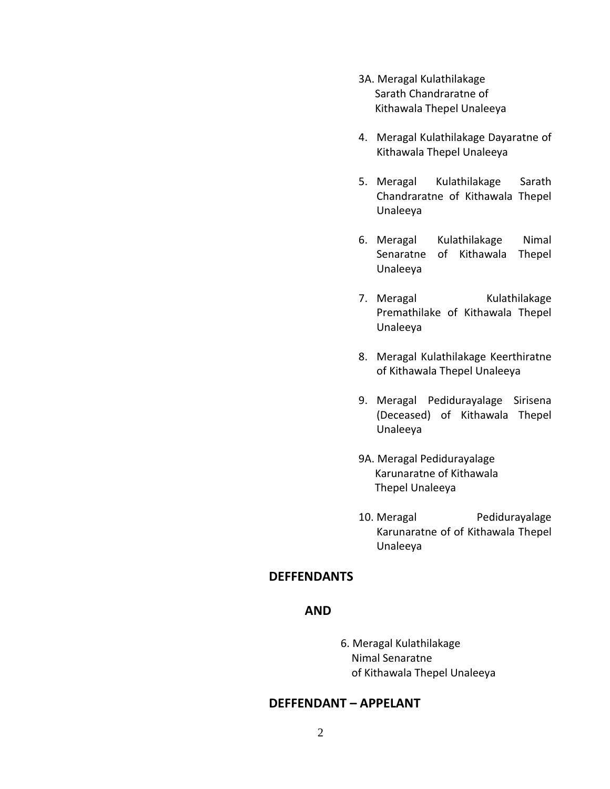- 3A. Meragal Kulathilakage Sarath Chandraratne of Kithawala Thepel Unaleeya
- 4. Meragal Kulathilakage Dayaratne of Kithawala Thepel Unaleeya
- 5. Meragal Kulathilakage Sarath Chandraratne of Kithawala Thepel Unaleeya
- 6. Meragal Kulathilakage Nimal Senaratne of Kithawala Thepel Unaleeya
- 7. Meragal Kulathilakage Premathilake of Kithawala Thepel Unaleeya
- 8. Meragal Kulathilakage Keerthiratne of Kithawala Thepel Unaleeya
- 9. Meragal Pedidurayalage Sirisena (Deceased) of Kithawala Thepel Unaleeya
- 9A. Meragal Pedidurayalage Karunaratne of Kithawala Thepel Unaleeya
- 10. Meragal Pedidurayalage Karunaratne of of Kithawala Thepel Unaleeya

# **DEFFENDANTS**

#### **AND**

6. Meragal Kulathilakage Nimal Senaratne of Kithawala Thepel Unaleeya

#### **DEFFENDANT – APPELANT**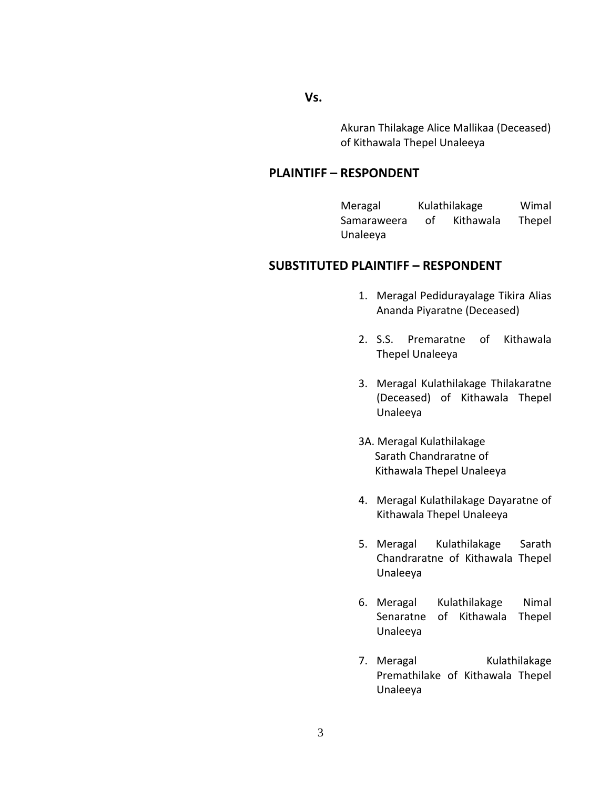**Vs.**

Akuran Thilakage Alice Mallikaa (Deceased) of Kithawala Thepel Unaleeya

## **PLAINTIFF – RESPONDENT**

Meragal Kulathilakage Wimal Samaraweera of Kithawala Thepel Unaleeya

# **SUBSTITUTED PLAINTIFF – RESPONDENT**

- 1. Meragal Pedidurayalage Tikira Alias Ananda Piyaratne (Deceased)
- 2. S.S. Premaratne of Kithawala Thepel Unaleeya
- 3. Meragal Kulathilakage Thilakaratne (Deceased) of Kithawala Thepel Unaleeya
- 3A. Meragal Kulathilakage Sarath Chandraratne of Kithawala Thepel Unaleeya
- 4. Meragal Kulathilakage Dayaratne of Kithawala Thepel Unaleeya
- 5. Meragal Kulathilakage Sarath Chandraratne of Kithawala Thepel Unaleeya
- 6. Meragal Kulathilakage Nimal Senaratne of Kithawala Thepel Unaleeya
- 7. Meragal Kulathilakage Premathilake of Kithawala Thepel Unaleeya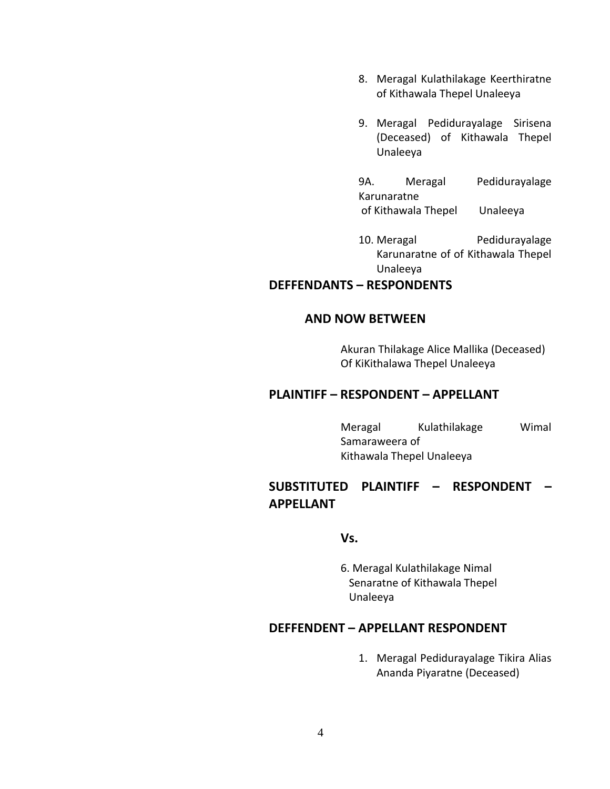- 8. Meragal Kulathilakage Keerthiratne of Kithawala Thepel Unaleeya
- 9. Meragal Pedidurayalage Sirisena (Deceased) of Kithawala Thepel Unaleeya
- 9A. Meragal Pedidurayalage Karunaratne of Kithawala Thepel Unaleeya
- 10. Meragal Pedidurayalage Karunaratne of of Kithawala Thepel Unaleeya

## **DEFFENDANTS – RESPONDENTS**

# **AND NOW BETWEEN**

Akuran Thilakage Alice Mallika (Deceased) Of KiKithalawa Thepel Unaleeya

## **PLAINTIFF – RESPONDENT – APPELLANT**

Meragal Kulathilakage Wimal Samaraweera of Kithawala Thepel Unaleeya

# **SUBSTITUTED PLAINTIFF – RESPONDENT – APPELLANT**

#### **Vs.**

6. Meragal Kulathilakage Nimal Senaratne of Kithawala Thepel Unaleeya

## **DEFFENDENT – APPELLANT RESPONDENT**

1. Meragal Pedidurayalage Tikira Alias Ananda Piyaratne (Deceased)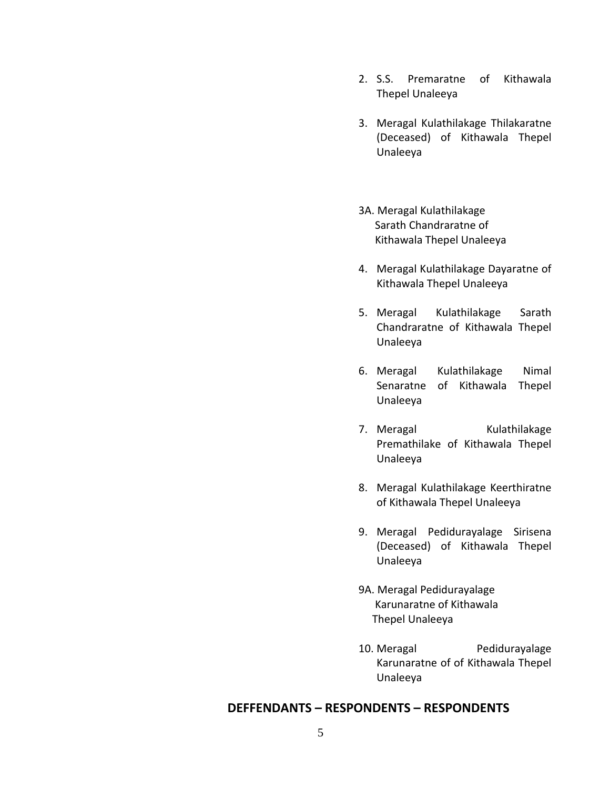- 2. S.S. Premaratne of Kithawala Thepel Unaleeya
- 3. Meragal Kulathilakage Thilakaratne (Deceased) of Kithawala Thepel Unaleeya
- 3A. Meragal Kulathilakage Sarath Chandraratne of Kithawala Thepel Unaleeya
- 4. Meragal Kulathilakage Dayaratne of Kithawala Thepel Unaleeya
- 5. Meragal Kulathilakage Sarath Chandraratne of Kithawala Thepel Unaleeya
- 6. Meragal Kulathilakage Nimal Senaratne of Kithawala Thepel Unaleeya
- 7. Meragal Kulathilakage Premathilake of Kithawala Thepel Unaleeya
- 8. Meragal Kulathilakage Keerthiratne of Kithawala Thepel Unaleeya
- 9. Meragal Pedidurayalage Sirisena (Deceased) of Kithawala Thepel Unaleeya
- 9A. Meragal Pedidurayalage Karunaratne of Kithawala Thepel Unaleeya
- 10. Meragal Pedidurayalage Karunaratne of of Kithawala Thepel Unaleeya

#### **DEFFENDANTS – RESPONDENTS – RESPONDENTS**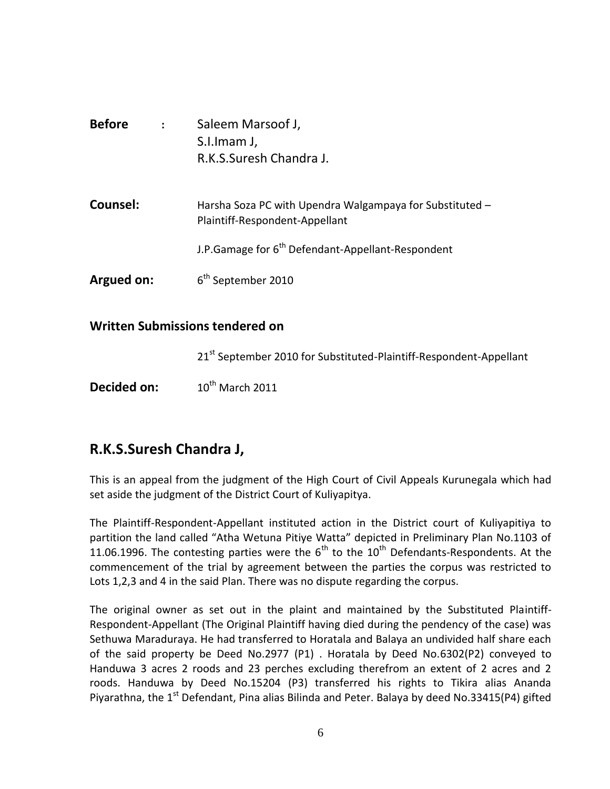| <b>Before</b> | $\ddot{\cdot}$ | Saleem Marsoof J,<br>S.I.Imam J,<br>R.K.S.Suresh Chandra J.                                |
|---------------|----------------|--------------------------------------------------------------------------------------------|
| Counsel:      |                | Harsha Soza PC with Upendra Walgampaya for Substituted -<br>Plaintiff-Respondent-Appellant |
|               |                | J.P. Gamage for 6 <sup>th</sup> Defendant-Appellant-Respondent                             |
| Argued on:    |                | 6 <sup>th</sup> September 2010                                                             |

# **Written Submissions tendered on**

21<sup>st</sup> September 2010 for Substituted-Plaintiff-Respondent-Appellant

**Decided on:** 10<sup>th</sup> March 2011

# **R.K.S.Suresh Chandra J,**

This is an appeal from the judgment of the High Court of Civil Appeals Kurunegala which had set aside the judgment of the District Court of Kuliyapitya.

The Plaintiff-Respondent-Appellant instituted action in the District court of Kuliyapitiya to partition the land called "Atha Wetuna Pitiye Watta" depicted in Preliminary Plan No.1103 of 11.06.1996. The contesting parties were the  $6<sup>th</sup>$  to the 10<sup>th</sup> Defendants-Respondents. At the commencement of the trial by agreement between the parties the corpus was restricted to Lots 1,2,3 and 4 in the said Plan. There was no dispute regarding the corpus.

The original owner as set out in the plaint and maintained by the Substituted Plaintiff-Respondent-Appellant (The Original Plaintiff having died during the pendency of the case) was Sethuwa Maraduraya. He had transferred to Horatala and Balaya an undivided half share each of the said property be Deed No.2977 (P1) . Horatala by Deed No.6302(P2) conveyed to Handuwa 3 acres 2 roods and 23 perches excluding therefrom an extent of 2 acres and 2 roods. Handuwa by Deed No.15204 (P3) transferred his rights to Tikira alias Ananda Piyarathna, the 1<sup>st</sup> Defendant, Pina alias Bilinda and Peter. Balaya by deed No.33415(P4) gifted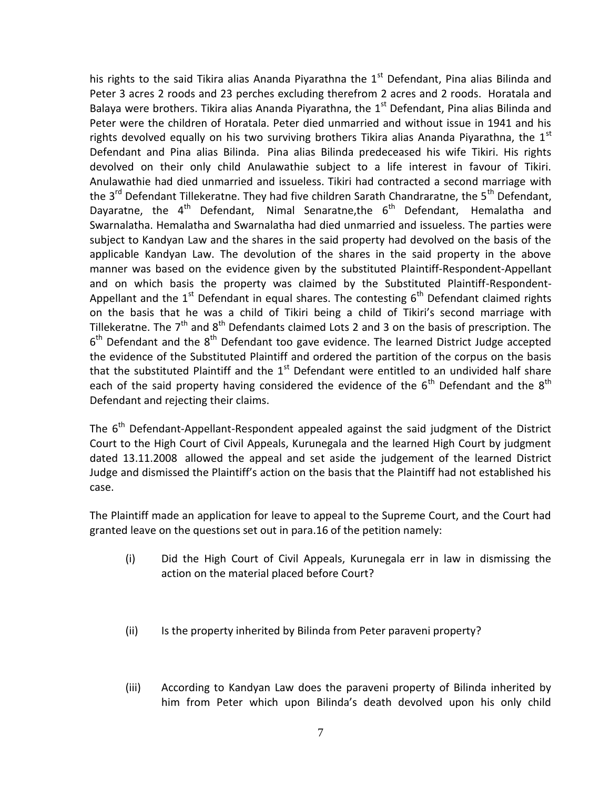his rights to the said Tikira alias Ananda Piyarathna the  $1<sup>st</sup>$  Defendant, Pina alias Bilinda and Peter 3 acres 2 roods and 23 perches excluding therefrom 2 acres and 2 roods. Horatala and Balaya were brothers. Tikira alias Ananda Piyarathna, the 1<sup>st</sup> Defendant, Pina alias Bilinda and Peter were the children of Horatala. Peter died unmarried and without issue in 1941 and his rights devolved equally on his two surviving brothers Tikira alias Ananda Piyarathna, the 1<sup>st</sup> Defendant and Pina alias Bilinda. Pina alias Bilinda predeceased his wife Tikiri. His rights devolved on their only child Anulawathie subject to a life interest in favour of Tikiri. Anulawathie had died unmarried and issueless. Tikiri had contracted a second marriage with the 3<sup>rd</sup> Defendant Tillekeratne. They had five children Sarath Chandraratne, the 5<sup>th</sup> Defendant, Dayaratne, the  $4<sup>th</sup>$  Defendant, Nimal Senaratne, the  $6<sup>th</sup>$  Defendant, Hemalatha and Swarnalatha. Hemalatha and Swarnalatha had died unmarried and issueless. The parties were subject to Kandyan Law and the shares in the said property had devolved on the basis of the applicable Kandyan Law. The devolution of the shares in the said property in the above manner was based on the evidence given by the substituted Plaintiff-Respondent-Appellant and on which basis the property was claimed by the Substituted Plaintiff-Respondent-Appellant and the 1<sup>st</sup> Defendant in equal shares. The contesting  $6<sup>th</sup>$  Defendant claimed rights on the basis that he was a child of Tikiri being a child of Tikiri's second marriage with Tillekeratne. The  $7<sup>th</sup>$  and  $8<sup>th</sup>$  Defendants claimed Lots 2 and 3 on the basis of prescription. The  $6<sup>th</sup>$  Defendant and the  $8<sup>th</sup>$  Defendant too gave evidence. The learned District Judge accepted the evidence of the Substituted Plaintiff and ordered the partition of the corpus on the basis that the substituted Plaintiff and the  $1<sup>st</sup>$  Defendant were entitled to an undivided half share each of the said property having considered the evidence of the  $6<sup>th</sup>$  Defendant and the  $8<sup>th</sup>$ Defendant and rejecting their claims.

The  $6<sup>th</sup>$  Defendant-Appellant-Respondent appealed against the said judgment of the District Court to the High Court of Civil Appeals, Kurunegala and the learned High Court by judgment dated 13.11.2008 allowed the appeal and set aside the judgement of the learned District Judge and dismissed the Plaintiff's action on the basis that the Plaintiff had not established his case.

The Plaintiff made an application for leave to appeal to the Supreme Court, and the Court had granted leave on the questions set out in para.16 of the petition namely:

- (i) Did the High Court of Civil Appeals, Kurunegala err in law in dismissing the action on the material placed before Court?
- (ii) Is the property inherited by Bilinda from Peter paraveni property?
- (iii) According to Kandyan Law does the paraveni property of Bilinda inherited by him from Peter which upon Bilinda's death devolved upon his only child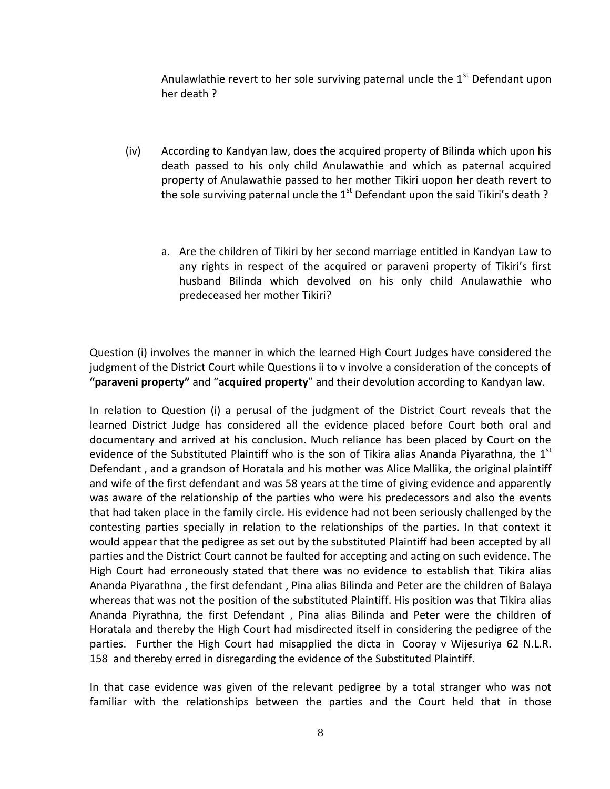Anulawlathie revert to her sole surviving paternal uncle the  $1<sup>st</sup>$  Defendant upon her death ?

- (iv) According to Kandyan law, does the acquired property of Bilinda which upon his death passed to his only child Anulawathie and which as paternal acquired property of Anulawathie passed to her mother Tikiri uopon her death revert to the sole surviving paternal uncle the  $1<sup>st</sup>$  Defendant upon the said Tikiri's death ?
	- a. Are the children of Tikiri by her second marriage entitled in Kandyan Law to any rights in respect of the acquired or paraveni property of Tikiri's first husband Bilinda which devolved on his only child Anulawathie who predeceased her mother Tikiri?

Question (i) involves the manner in which the learned High Court Judges have considered the judgment of the District Court while Questions ii to v involve a consideration of the concepts of **"paraveni property"** and "**acquired property**" and their devolution according to Kandyan law.

In relation to Question (i) a perusal of the judgment of the District Court reveals that the learned District Judge has considered all the evidence placed before Court both oral and documentary and arrived at his conclusion. Much reliance has been placed by Court on the evidence of the Substituted Plaintiff who is the son of Tikira alias Ananda Piyarathna, the  $1<sup>st</sup>$ Defendant , and a grandson of Horatala and his mother was Alice Mallika, the original plaintiff and wife of the first defendant and was 58 years at the time of giving evidence and apparently was aware of the relationship of the parties who were his predecessors and also the events that had taken place in the family circle. His evidence had not been seriously challenged by the contesting parties specially in relation to the relationships of the parties. In that context it would appear that the pedigree as set out by the substituted Plaintiff had been accepted by all parties and the District Court cannot be faulted for accepting and acting on such evidence. The High Court had erroneously stated that there was no evidence to establish that Tikira alias Ananda Piyarathna , the first defendant , Pina alias Bilinda and Peter are the children of Balaya whereas that was not the position of the substituted Plaintiff. His position was that Tikira alias Ananda Piyrathna, the first Defendant , Pina alias Bilinda and Peter were the children of Horatala and thereby the High Court had misdirected itself in considering the pedigree of the parties. Further the High Court had misapplied the dicta in Cooray v Wijesuriya 62 N.L.R. 158 and thereby erred in disregarding the evidence of the Substituted Plaintiff.

In that case evidence was given of the relevant pedigree by a total stranger who was not familiar with the relationships between the parties and the Court held that in those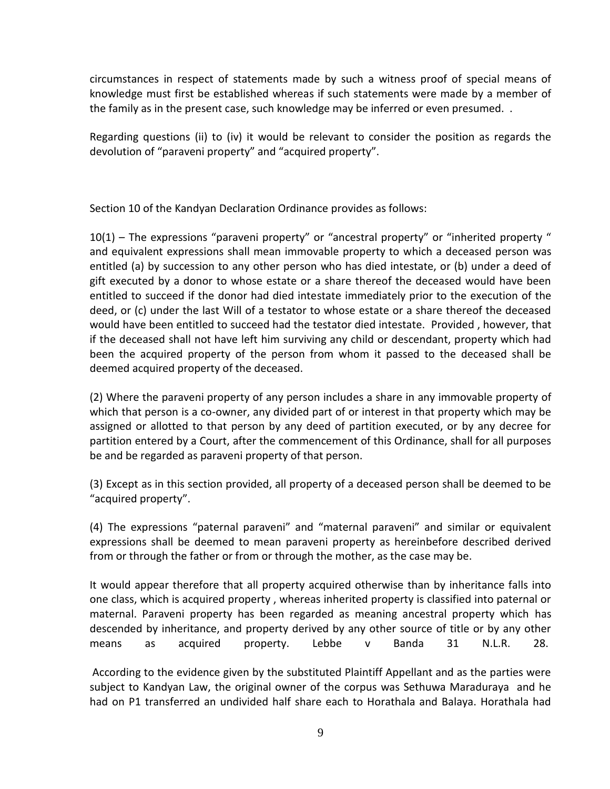circumstances in respect of statements made by such a witness proof of special means of knowledge must first be established whereas if such statements were made by a member of the family as in the present case, such knowledge may be inferred or even presumed. .

Regarding questions (ii) to (iv) it would be relevant to consider the position as regards the devolution of "paraveni property" and "acquired property".

Section 10 of the Kandyan Declaration Ordinance provides as follows:

10(1) – The expressions "paraveni property" or "ancestral property" or "inherited property " and equivalent expressions shall mean immovable property to which a deceased person was entitled (a) by succession to any other person who has died intestate, or (b) under a deed of gift executed by a donor to whose estate or a share thereof the deceased would have been entitled to succeed if the donor had died intestate immediately prior to the execution of the deed, or (c) under the last Will of a testator to whose estate or a share thereof the deceased would have been entitled to succeed had the testator died intestate. Provided , however, that if the deceased shall not have left him surviving any child or descendant, property which had been the acquired property of the person from whom it passed to the deceased shall be deemed acquired property of the deceased.

(2) Where the paraveni property of any person includes a share in any immovable property of which that person is a co-owner, any divided part of or interest in that property which may be assigned or allotted to that person by any deed of partition executed, or by any decree for partition entered by a Court, after the commencement of this Ordinance, shall for all purposes be and be regarded as paraveni property of that person.

(3) Except as in this section provided, all property of a deceased person shall be deemed to be "acquired property".

(4) The expressions "paternal paraveni" and "maternal paraveni" and similar or equivalent expressions shall be deemed to mean paraveni property as hereinbefore described derived from or through the father or from or through the mother, as the case may be.

It would appear therefore that all property acquired otherwise than by inheritance falls into one class, which is acquired property , whereas inherited property is classified into paternal or maternal. Paraveni property has been regarded as meaning ancestral property which has descended by inheritance, and property derived by any other source of title or by any other means as acquired property. Lebbe v Banda 31 N.L.R. 28.

According to the evidence given by the substituted Plaintiff Appellant and as the parties were subject to Kandyan Law, the original owner of the corpus was Sethuwa Maraduraya and he had on P1 transferred an undivided half share each to Horathala and Balaya. Horathala had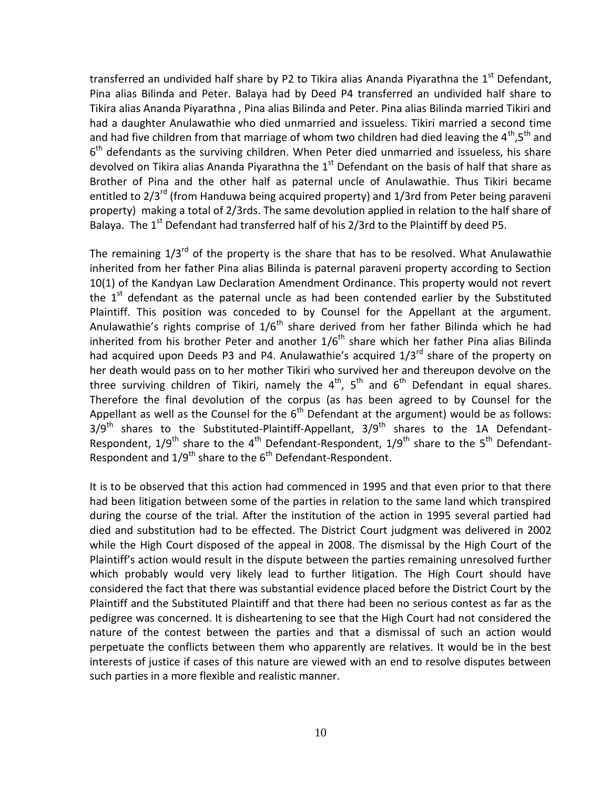transferred an undivided half share by P2 to Tikira alias Ananda Piyarathna the 1<sup>st</sup> Defendant, Pina alias Bilinda and Peter. Balaya had by Deed P4 transferred an undivided half share to Tikira alias Ananda Piyarathna , Pina alias Bilinda and Peter. Pina alias Bilinda married Tikiri and had a daughter Anulawathie who died unmarried and issueless. Tikiri married a second time and had five children from that marriage of whom two children had died leaving the  $4^{\text{th}}$ ,5<sup>th</sup> and  $6<sup>th</sup>$  defendants as the surviving children. When Peter died unmarried and issueless, his share devolved on Tikira alias Ananda Piyarathna the  $1<sup>st</sup>$  Defendant on the basis of half that share as Brother of Pina and the other half as paternal uncle of Anulawathie. Thus Tikiri became entitled to  $2/3^{rd}$  (from Handuwa being acquired property) and  $1/3$ rd from Peter being paraveni property) making a total of 2/3rds. The same devolution applied in relation to the half share of Balaya. The  $1<sup>st</sup>$  Defendant had transferred half of his 2/3rd to the Plaintiff by deed P5.

The remaining  $1/3<sup>rd</sup>$  of the property is the share that has to be resolved. What Anulawathie inherited from her father Pina alias Bilinda is paternal paraveni property according to Section 10(1) of the Kandyan Law Declaration Amendment Ordinance. This property would not revert the  $1<sup>st</sup>$  defendant as the paternal uncle as had been contended earlier by the Substituted Plaintiff. This position was conceded to by Counsel for the Appellant at the argument. Anulawathie's rights comprise of  $1/6<sup>th</sup>$  share derived from her father Bilinda which he had inherited from his brother Peter and another  $1/6<sup>th</sup>$  share which her father Pina alias Bilinda had acquired upon Deeds P3 and P4. Anulawathie's acquired 1/3<sup>rd</sup> share of the property on her death would pass on to her mother Tikiri who survived her and thereupon devolve on the three surviving children of Tikiri, namely the  $4^{th}$ ,  $5^{th}$  and  $6^{th}$  Defendant in equal shares. Therefore the final devolution of the corpus (as has been agreed to by Counsel for the Appellant as well as the Counsel for the  $6<sup>th</sup>$  Defendant at the argument) would be as follows:  $3/9<sup>th</sup>$  shares to the Substituted-Plaintiff-Appellant,  $3/9<sup>th</sup>$  shares to the 1A Defendant-Respondent,  $1/9^{th}$  share to the 4<sup>th</sup> Defendant-Respondent,  $1/9^{th}$  share to the 5<sup>th</sup> Defendant-Respondent and  $1/9^{th}$  share to the  $6^{th}$  Defendant-Respondent.

It is to be observed that this action had commenced in 1995 and that even prior to that there had been litigation between some of the parties in relation to the same land which transpired during the course of the trial. After the institution of the action in 1995 several partied had died and substitution had to be effected. The District Court judgment was delivered in 2002 while the High Court disposed of the appeal in 2008. The dismissal by the High Court of the Plaintiff's action would result in the dispute between the parties remaining unresolved further which probably would very likely lead to further litigation. The High Court should have considered the fact that there was substantial evidence placed before the District Court by the Plaintiff and the Substituted Plaintiff and that there had been no serious contest as far as the pedigree was concerned. It is disheartening to see that the High Court had not considered the nature of the contest between the parties and that a dismissal of such an action would perpetuate the conflicts between them who apparently are relatives. It would be in the best interests of justice if cases of this nature are viewed with an end to resolve disputes between such parties in a more flexible and realistic manner.